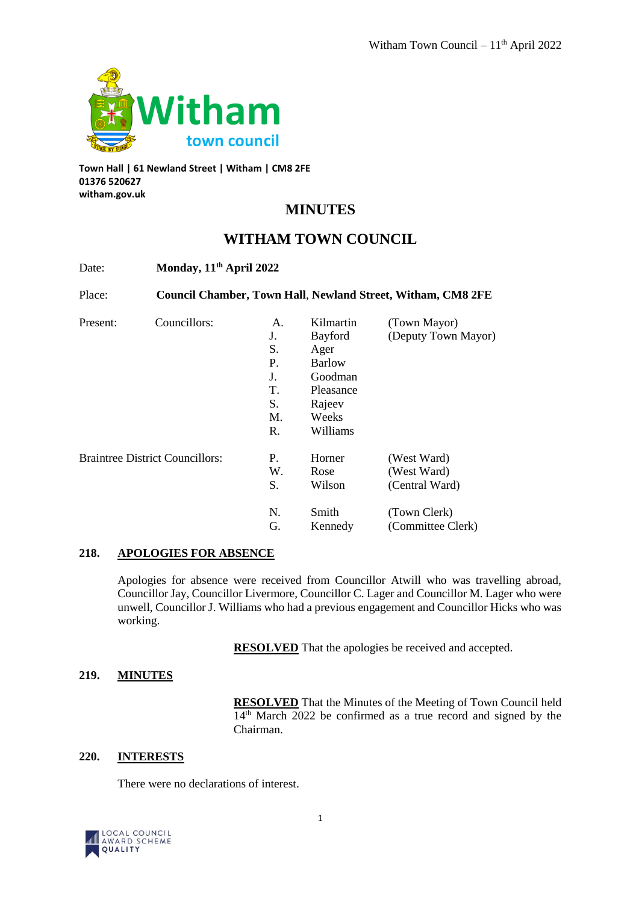

**Town Hall | 61 Newland Street | Witham | CM8 2FE 01376 520627 witham.gov.uk**

# **MINUTES**

## **WITHAM TOWN COUNCIL**

| Date:                                  | Monday, 11 <sup>th</sup> April 2022<br>Council Chamber, Town Hall, Newland Street, Witham, CM8 2FE |    |               |                     |
|----------------------------------------|----------------------------------------------------------------------------------------------------|----|---------------|---------------------|
| Place:                                 |                                                                                                    |    |               |                     |
| Present:                               | Councillors:                                                                                       | A. | Kilmartin     | (Town Mayor)        |
|                                        |                                                                                                    | J. | Bayford       | (Deputy Town Mayor) |
|                                        |                                                                                                    | S. | Ager          |                     |
|                                        |                                                                                                    | Ρ. | <b>Barlow</b> |                     |
|                                        |                                                                                                    | J. | Goodman       |                     |
|                                        |                                                                                                    | Τ. | Pleasance     |                     |
|                                        |                                                                                                    | S. | Rajeev        |                     |
|                                        |                                                                                                    | M. | Weeks         |                     |
|                                        |                                                                                                    | R. | Williams      |                     |
| <b>Braintree District Councillors:</b> |                                                                                                    | P. | Horner        | (West Ward)         |
|                                        |                                                                                                    | W. | Rose          | (West Ward)         |
|                                        |                                                                                                    | S. | Wilson        | (Central Ward)      |
|                                        |                                                                                                    | N. | Smith         | (Town Clerk)        |
|                                        |                                                                                                    | G. | Kennedy       | (Committee Clerk)   |

#### **218. APOLOGIES FOR ABSENCE**

Apologies for absence were received from Councillor Atwill who was travelling abroad, Councillor Jay, Councillor Livermore, Councillor C. Lager and Councillor M. Lager who were unwell, Councillor J. Williams who had a previous engagement and Councillor Hicks who was working.

**RESOLVED** That the apologies be received and accepted.

## **219. MINUTES**

**RESOLVED** That the Minutes of the Meeting of Town Council held 14<sup>th</sup> March 2022 be confirmed as a true record and signed by the Chairman.

### **220. INTERESTS**

There were no declarations of interest.

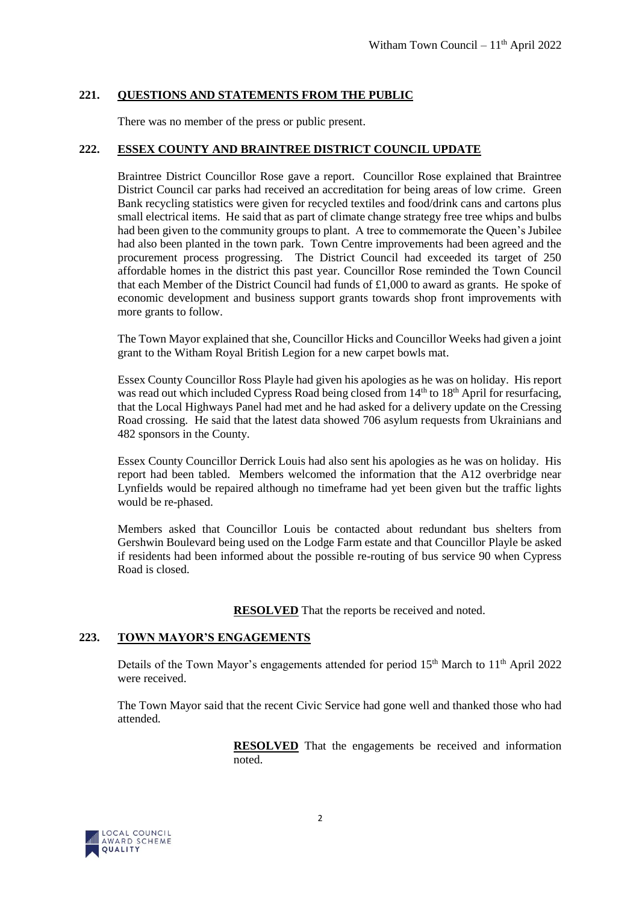## **221. QUESTIONS AND STATEMENTS FROM THE PUBLIC**

There was no member of the press or public present.

## **222. ESSEX COUNTY AND BRAINTREE DISTRICT COUNCIL UPDATE**

Braintree District Councillor Rose gave a report. Councillor Rose explained that Braintree District Council car parks had received an accreditation for being areas of low crime. Green Bank recycling statistics were given for recycled textiles and food/drink cans and cartons plus small electrical items. He said that as part of climate change strategy free tree whips and bulbs had been given to the community groups to plant. A tree to commemorate the Queen's Jubilee had also been planted in the town park. Town Centre improvements had been agreed and the procurement process progressing. The District Council had exceeded its target of 250 affordable homes in the district this past year. Councillor Rose reminded the Town Council that each Member of the District Council had funds of £1,000 to award as grants. He spoke of economic development and business support grants towards shop front improvements with more grants to follow.

The Town Mayor explained that she, Councillor Hicks and Councillor Weeks had given a joint grant to the Witham Royal British Legion for a new carpet bowls mat.

Essex County Councillor Ross Playle had given his apologies as he was on holiday. His report was read out which included Cypress Road being closed from 14<sup>th</sup> to 18<sup>th</sup> April for resurfacing, that the Local Highways Panel had met and he had asked for a delivery update on the Cressing Road crossing. He said that the latest data showed 706 asylum requests from Ukrainians and 482 sponsors in the County.

Essex County Councillor Derrick Louis had also sent his apologies as he was on holiday. His report had been tabled. Members welcomed the information that the A12 overbridge near Lynfields would be repaired although no timeframe had yet been given but the traffic lights would be re-phased.

Members asked that Councillor Louis be contacted about redundant bus shelters from Gershwin Boulevard being used on the Lodge Farm estate and that Councillor Playle be asked if residents had been informed about the possible re-routing of bus service 90 when Cypress Road is closed.

**RESOLVED** That the reports be received and noted.

#### **223. TOWN MAYOR'S ENGAGEMENTS**

Details of the Town Mayor's engagements attended for period  $15<sup>th</sup>$  March to  $11<sup>th</sup>$  April 2022 were received.

The Town Mayor said that the recent Civic Service had gone well and thanked those who had attended.

> **RESOLVED** That the engagements be received and information noted.

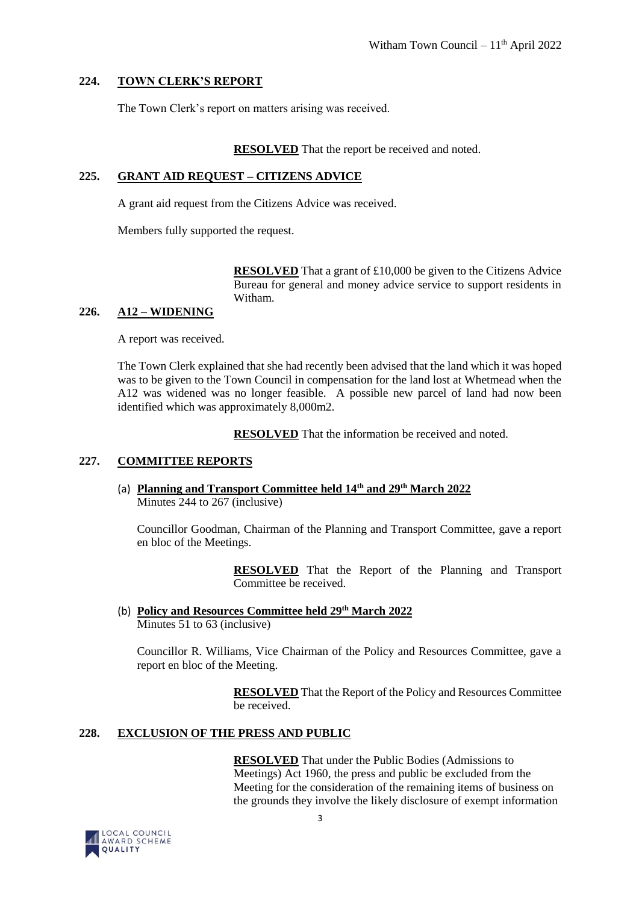## **224. TOWN CLERK'S REPORT**

The Town Clerk's report on matters arising was received.

#### **RESOLVED** That the report be received and noted.

#### **225. GRANT AID REQUEST – CITIZENS ADVICE**

A grant aid request from the Citizens Advice was received.

Members fully supported the request.

**RESOLVED** That a grant of £10,000 be given to the Citizens Advice Bureau for general and money advice service to support residents in Witham.

## **226. A12 – WIDENING**

A report was received.

The Town Clerk explained that she had recently been advised that the land which it was hoped was to be given to the Town Council in compensation for the land lost at Whetmead when the A12 was widened was no longer feasible. A possible new parcel of land had now been identified which was approximately 8,000m2.

**RESOLVED** That the information be received and noted.

#### **227. COMMITTEE REPORTS**

(a) **Planning and Transport Committee held 14th and 29th March 2022**  Minutes 244 to 267 (inclusive)

Councillor Goodman, Chairman of the Planning and Transport Committee, gave a report en bloc of the Meetings.

> **RESOLVED** That the Report of the Planning and Transport Committee be received.

(b) **Policy and Resources Committee held 29th March 2022** Minutes 51 to 63 (inclusive)

Councillor R. Williams, Vice Chairman of the Policy and Resources Committee, gave a report en bloc of the Meeting.

> **RESOLVED** That the Report of the Policy and Resources Committee be received.

## **228. EXCLUSION OF THE PRESS AND PUBLIC**

**RESOLVED** That under the Public Bodies (Admissions to Meetings) Act 1960, the press and public be excluded from the Meeting for the consideration of the remaining items of business on the grounds they involve the likely disclosure of exempt information